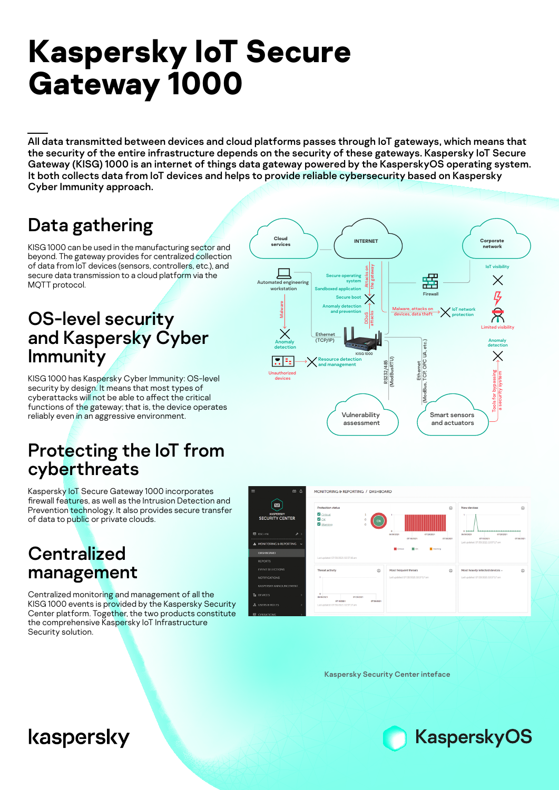# **Kaspersky IoT Secure Gateway 1000**

All data transmitted between devices and cloud platforms passes through IoT gateways, which means that the security of the entire infrastructure depends on the security of these gateways. Kaspersky IoT Secure Gateway (KISG) 1000 is an internet of things data gateway powered by the KasperskyOS operating system. It both collects data from IoT devices and helps to provide reliable cybersecurity based on Kaspersky Cyber Immunity approach.

## Data gathering

KISG 1000 can be used in the manufacturing sector and beyond. The gateway provides for centralized collection of data from IoT devices (sensors, controllers, etc.), and secure data transmission to a cloud platform via the MQTT protocol.

#### OS-level security and Kaspersky Cyber Immunity

KISG 1000 has Kaspersky Cyber Immunity: OS-level security by design. It means that most types of cyberattacks will not be able to affect the critical functions of the gateway; that is, the device operates reliably even in an aggressive environment.

### Protecting the IoT from cyberthreats

Kaspersky IoT Secure Gateway 1000 incorporates firewall features, as well as the Intrusion Detection and Prevention technology. It also provides secure transfer of data to public or private clouds.

#### **Centralized** management

Centralized monitoring and management of all the KISG 1000 events is provided by the Kaspersky Security Center platform. Together, the two products constitute the comprehensive Kaspersky IoT Infrastructure Security solution.





Kaspersky Security Center inteface



# kaspersky